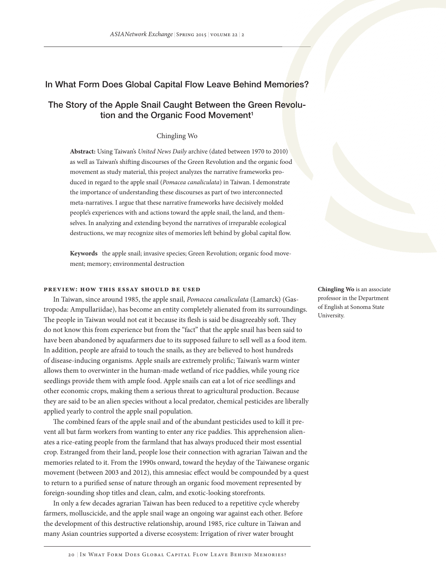# In What Form Does Global Capital Flow Leave Behind Memories?

# The Story of the Apple Snail Caught Between the Green Revolution and the Organic Food Movement<sup>1</sup>

# Chingling Wo

**Abstract:** Using Taiwan's *United News Daily* archive (dated between 1970 to 2010) as well as Taiwan's shifting discourses of the Green Revolution and the organic food movement as study material, this project analyzes the narrative frameworks produced in regard to the apple snail (*Pomacea canaliculata*) in Taiwan. I demonstrate the importance of understanding these discourses as part of two interconnected meta-narratives. I argue that these narrative frameworks have decisively molded people's experiences with and actions toward the apple snail, the land, and themselves. In analyzing and extending beyond the narratives of irreparable ecological destructions, we may recognize sites of memories left behind by global capital flow.

**Keywords** the apple snail; invasive species; Green Revolution; organic food movement; memory; environmental destruction

# **Preview: How this essay should be used**

In Taiwan, since around 1985, the apple snail, *Pomacea canaliculata* (Lamarck) (Gastropoda: Ampullariidae), has become an entity completely alienated from its surroundings. The people in Taiwan would not eat it because its flesh is said be disagreeably soft. They do not know this from experience but from the "fact" that the apple snail has been said to have been abandoned by aquafarmers due to its supposed failure to sell well as a food item. In addition, people are afraid to touch the snails, as they are believed to host hundreds of disease-inducing organisms. Apple snails are extremely prolific; Taiwan's warm winter allows them to overwinter in the human-made wetland of rice paddies, while young rice seedlings provide them with ample food. Apple snails can eat a lot of rice seedlings and other economic crops, making them a serious threat to agricultural production. Because they are said to be an alien species without a local predator, chemical pesticides are liberally applied yearly to control the apple snail population.

The combined fears of the apple snail and of the abundant pesticides used to kill it prevent all but farm workers from wanting to enter any rice paddies. This apprehension alienates a rice-eating people from the farmland that has always produced their most essential crop. Estranged from their land, people lose their connection with agrarian Taiwan and the memories related to it. From the 1990s onward, toward the heyday of the Taiwanese organic movement (between 2003 and 2012), this amnesiac effect would be compounded by a quest to return to a purified sense of nature through an organic food movement represented by foreign-sounding shop titles and clean, calm, and exotic-looking storefronts.

In only a few decades agrarian Taiwan has been reduced to a repetitive cycle whereby farmers, molluscicide, and the apple snail wage an ongoing war against each other. Before the development of this destructive relationship, around 1985, rice culture in Taiwan and many Asian countries supported a diverse ecosystem: Irrigation of river water brought

**Chingling Wo** is an associate professor in the Department of English at Sonoma State University.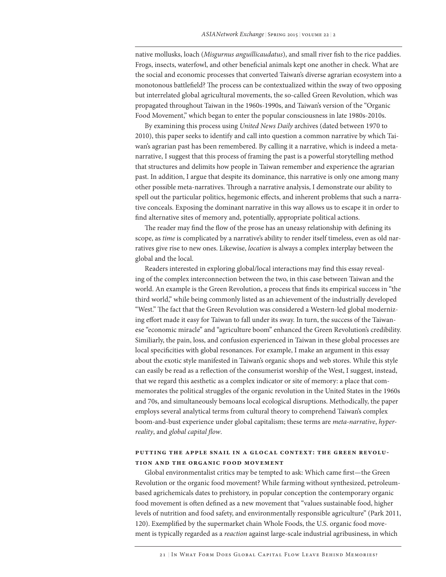native mollusks, loach (*Misgurnus anguillicaudatus*), and small river fish to the rice paddies. Frogs, insects, waterfowl, and other beneficial animals kept one another in check. What are the social and economic processes that converted Taiwan's diverse agrarian ecosystem into a monotonous battlefield? The process can be contextualized within the sway of two opposing but interrelated global agricultural movements, the so-called Green Revolution, which was propagated throughout Taiwan in the 1960s-1990s, and Taiwan's version of the "Organic Food Movement," which began to enter the popular consciousness in late 1980s-2010s.

By examining this process using *United News Daily* archives (dated between 1970 to 2010), this paper seeks to identify and call into question a common narrative by which Taiwan's agrarian past has been remembered. By calling it a narrative, which is indeed a metanarrative, I suggest that this process of framing the past is a powerful storytelling method that structures and delimits how people in Taiwan remember and experience the agrarian past. In addition, I argue that despite its dominance, this narrative is only one among many other possible meta-narratives. Through a narrative analysis, I demonstrate our ability to spell out the particular politics, hegemonic effects, and inherent problems that such a narrative conceals. Exposing the dominant narrative in this way allows us to escape it in order to find alternative sites of memory and, potentially, appropriate political actions.

The reader may find the flow of the prose has an uneasy relationship with defining its scope, as *time* is complicated by a narrative's ability to render itself timeless, even as old narratives give rise to new ones. Likewise, *location* is always a complex interplay between the global and the local.

Readers interested in exploring global/local interactions may find this essay revealing of the complex interconnection between the two, in this case between Taiwan and the world. An example is the Green Revolution, a process that finds its empirical success in "the third world," while being commonly listed as an achievement of the industrially developed "West." The fact that the Green Revolution was considered a Western-led global modernizing effort made it easy for Taiwan to fall under its sway. In turn, the success of the Taiwanese "economic miracle" and "agriculture boom" enhanced the Green Revolution's credibility. Similiarly, the pain, loss, and confusion experienced in Taiwan in these global processes are local specificities with global resonances. For example, I make an argument in this essay about the exotic style manifested in Taiwan's organic shops and web stores. While this style can easily be read as a reflection of the consumerist worship of the West, I suggest, instead, that we regard this aesthetic as a complex indicator or site of memory: a place that commemorates the political struggles of the organic revolution in the United States in the 1960s and 70s, and simultaneously bemoans local ecological disruptions. Methodically, the paper employs several analytical terms from cultural theory to comprehend Taiwan's complex boom-and-bust experience under global capitalism; these terms are *meta-narrative*, *hyperreality*, and *global capital flow*.

# **Putting The Apple Snail in a Glocal Context: The Green Revolution and the Organic Food Movement**

Global environmentalist critics may be tempted to ask: Which came first—the Green Revolution or the organic food movement? While farming without synthesized, petroleumbased agrichemicals dates to prehistory, in popular conception the contemporary organic food movement is often defined as a new movement that "values sustainable food, higher levels of nutrition and food safety, and environmentally responsible agriculture" (Park 2011, 120). Exemplified by the supermarket chain Whole Foods, the U.S. organic food movement is typically regarded as a *reaction* against large-scale industrial agribusiness, in which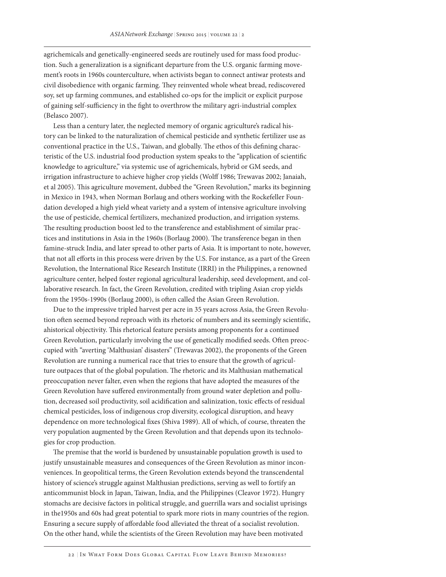agrichemicals and genetically-engineered seeds are routinely used for mass food production. Such a generalization is a significant departure from the U.S. organic farming movement's roots in 1960s counterculture, when activists began to connect antiwar protests and civil disobedience with organic farming. They reinvented whole wheat bread, rediscovered soy, set up farming communes, and established co-ops for the implicit or explicit purpose of gaining self-sufficiency in the fight to overthrow the military agri-industrial complex (Belasco 2007).

Less than a century later, the neglected memory of organic agriculture's radical history can be linked to the naturalization of chemical pesticide and synthetic fertilizer use as conventional practice in the U.S., Taiwan, and globally. The ethos of this defining characteristic of the U.S. industrial food production system speaks to the "application of scientific knowledge to agriculture," via systemic use of agrichemicals, hybrid or GM seeds, and irrigation infrastructure to achieve higher crop yields (Wolff 1986; Trewavas 2002; Janaiah, et al 2005). This agriculture movement, dubbed the "Green Revolution," marks its beginning in Mexico in 1943, when Norman Borlaug and others working with the Rockefeller Foundation developed a high yield wheat variety and a system of intensive agriculture involving the use of pesticide, chemical fertilizers, mechanized production, and irrigation systems. The resulting production boost led to the transference and establishment of similar practices and institutions in Asia in the 1960s (Borlaug 2000). The transference began in then famine-struck India, and later spread to other parts of Asia. It is important to note, however, that not all efforts in this process were driven by the U.S. For instance, as a part of the Green Revolution, the International Rice Research Institute (IRRI) in the Philippines, a renowned agriculture center, helped foster regional agricultural leadership, seed development, and collaborative research. In fact, the Green Revolution, credited with tripling Asian crop yields from the 1950s-1990s (Borlaug 2000), is often called the Asian Green Revolution.

Due to the impressive tripled harvest per acre in 35 years across Asia, the Green Revolution often seemed beyond reproach with its rhetoric of numbers and its seemingly scientific, ahistorical objectivity. This rhetorical feature persists among proponents for a continued Green Revolution, particularly involving the use of genetically modified seeds. Often preoccupied with "averting 'Malthusian' disasters" (Trewavas 2002), the proponents of the Green Revolution are running a numerical race that tries to ensure that the growth of agriculture outpaces that of the global population. The rhetoric and its Malthusian mathematical preoccupation never falter, even when the regions that have adopted the measures of the Green Revolution have suffered environmentally from ground water depletion and pollution, decreased soil productivity, soil acidification and salinization, toxic effects of residual chemical pesticides, loss of indigenous crop diversity, ecological disruption, and heavy dependence on more technological fixes (Shiva 1989). All of which, of course, threaten the very population augmented by the Green Revolution and that depends upon its technologies for crop production.

The premise that the world is burdened by unsustainable population growth is used to justify unsustainable measures and consequences of the Green Revolution as minor inconveniences. In geopolitical terms, the Green Revolution extends beyond the transcendental history of science's struggle against Malthusian predictions, serving as well to fortify an anticommunist block in Japan, Taiwan, India, and the Philippines (Cleavor 1972). Hungry stomachs are decisive factors in political struggle, and guerrilla wars and socialist uprisings in the1950s and 60s had great potential to spark more riots in many countries of the region. Ensuring a secure supply of affordable food alleviated the threat of a socialist revolution. On the other hand, while the scientists of the Green Revolution may have been motivated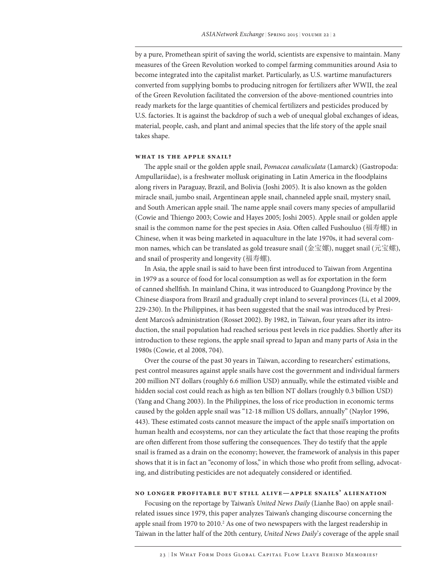by a pure, Promethean spirit of saving the world, scientists are expensive to maintain. Many measures of the Green Revolution worked to compel farming communities around Asia to become integrated into the capitalist market. Particularly, as U.S. wartime manufacturers converted from supplying bombs to producing nitrogen for fertilizers after WWII, the zeal of the Green Revolution facilitated the conversion of the above-mentioned countries into ready markets for the large quantities of chemical fertilizers and pesticides produced by U.S. factories. It is against the backdrop of such a web of unequal global exchanges of ideas, material, people, cash, and plant and animal species that the life story of the apple snail takes shape.

# **What Is the Apple Snail?**

The apple snail or the golden apple snail, *Pomacea canaliculata* (Lamarck) (Gastropoda: Ampullariidae), is a freshwater mollusk originating in Latin America in the floodplains along rivers in Paraguay, Brazil, and Bolivia (Joshi 2005). It is also known as the golden miracle snail, jumbo snail, Argentinean apple snail, channeled apple snail, mystery snail, and South American apple snail. The name apple snail covers many species of ampullariid (Cowie and Thiengo 2003; Cowie and Hayes 2005; Joshi 2005). Apple snail or golden apple snail is the common name for the pest species in Asia. Often called Fushouluo (福寿螺) in Chinese, when it was being marketed in aquaculture in the late 1970s, it had several common names, which can be translated as gold treasure snail (金宝嫘), nugget snail (元宝螺), and snail of prosperity and longevity (福寿螺).

In Asia, the apple snail is said to have been first introduced to Taiwan from Argentina in 1979 as a source of food for local consumption as well as for exportation in the form of canned shellfish. In mainland China, it was introduced to Guangdong Province by the Chinese diaspora from Brazil and gradually crept inland to several provinces (Li, et al 2009, 229-230). In the Philippines, it has been suggested that the snail was introduced by President Marcos's administration (Rosset 2002). By 1982, in Taiwan, four years after its introduction, the snail population had reached serious pest levels in rice paddies. Shortly after its introduction to these regions, the apple snail spread to Japan and many parts of Asia in the 1980s (Cowie, et al 2008, 704).

Over the course of the past 30 years in Taiwan, according to researchers' estimations, pest control measures against apple snails have cost the government and individual farmers 200 million NT dollars (roughly 6.6 million USD) annually, while the estimated visible and hidden social cost could reach as high as ten billion NT dollars (roughly 0.3 billion USD) (Yang and Chang 2003). In the Philippines, the loss of rice production in economic terms caused by the golden apple snail was "12-18 million US dollars, annually" (Naylor 1996, 443). These estimated costs cannot measure the impact of the apple snail's importation on human health and ecosystems, nor can they articulate the fact that those reaping the profits are often different from those suffering the consequences. They do testify that the apple snail is framed as a drain on the economy; however, the framework of analysis in this paper shows that it is in fact an "economy of loss," in which those who profit from selling, advocating, and distributing pesticides are not adequately considered or identified.

# **No Longer Profitable but Still Alive—Apple Snails' Alienation**

Focusing on the reportage by Taiwan's *United News Daily* (Lianhe Bao) on apple snailrelated issues since 1979, this paper analyzes Taiwan's changing discourse concerning the apple snail from 1970 to 2010.<sup>2</sup> As one of two newspapers with the largest readership in Taiwan in the latter half of the 20th century, *United News Daily*'*s* coverage of the apple snail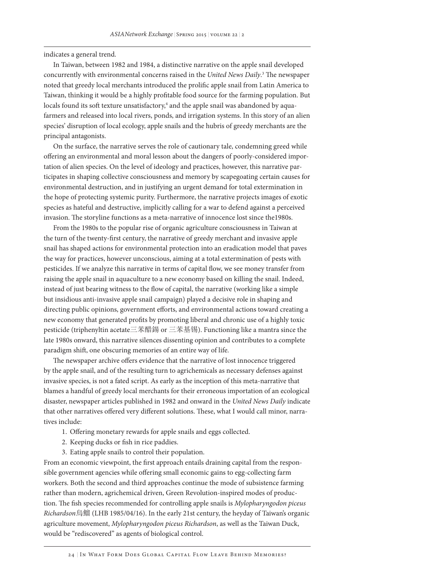indicates a general trend.

In Taiwan, between 1982 and 1984, a distinctive narrative on the apple snail developed concurrently with environmental concerns raised in the *United News Daily*. 3 The newspaper noted that greedy local merchants introduced the prolific apple snail from Latin America to Taiwan, thinking it would be a highly profitable food source for the farming population. But locals found its soft texture unsatisfactory,<sup>4</sup> and the apple snail was abandoned by aquafarmers and released into local rivers, ponds, and irrigation systems. In this story of an alien species' disruption of local ecology, apple snails and the hubris of greedy merchants are the principal antagonists.

On the surface, the narrative serves the role of cautionary tale, condemning greed while offering an environmental and moral lesson about the dangers of poorly-considered importation of alien species. On the level of ideology and practices, however, this narrative participates in shaping collective consciousness and memory by scapegoating certain causes for environmental destruction, and in justifying an urgent demand for total extermination in the hope of protecting systemic purity. Furthermore, the narrative projects images of exotic species as hateful and destructive, implicitly calling for a war to defend against a perceived invasion. The storyline functions as a meta-narrative of innocence lost since the1980s.

From the 1980s to the popular rise of organic agriculture consciousness in Taiwan at the turn of the twenty-first century, the narrative of greedy merchant and invasive apple snail has shaped actions for environmental protection into an eradication model that paves the way for practices, however unconscious, aiming at a total extermination of pests with pesticides. If we analyze this narrative in terms of capital flow, we see money transfer from raising the apple snail in aquaculture to a new economy based on killing the snail. Indeed, instead of just bearing witness to the flow of capital, the narrative (working like a simple but insidious anti-invasive apple snail campaign) played a decisive role in shaping and directing public opinions, government efforts, and environmental actions toward creating a new economy that generated profits by promoting liberal and chronic use of a highly toxic pesticide (triphenyltin acetate三苯醋鍚 or 三苯基锡). Functioning like a mantra since the late 1980s onward, this narrative silences dissenting opinion and contributes to a complete paradigm shift, one obscuring memories of an entire way of life.

The newspaper archive offers evidence that the narrative of lost innocence triggered by the apple snail, and of the resulting turn to agrichemicals as necessary defenses against invasive species, is not a fated script. As early as the inception of this meta-narrative that blames a handful of greedy local merchants for their erroneous importation of an ecological disaster, newspaper articles published in 1982 and onward in the *United News Daily* indicate that other narratives offered very different solutions. These, what I would call minor, narratives include:

- 1. Offering monetary rewards for apple snails and eggs collected.
- 2. Keeping ducks or fish in rice paddies.
- 3. Eating apple snails to control their population.

From an economic viewpoint, the first approach entails draining capital from the responsible government agencies while offering small economic gains to egg-collecting farm workers. Both the second and third approaches continue the mode of subsistence farming rather than modern, agrichemical driven, Green Revolution-inspired modes of production. The fish species recommended for controlling apple snails is *Mylopharyngodon piceus Richardson*烏鰡 (LHB 1985/04/16). In the early 21st century, the heyday of Taiwan's organic agriculture movement, *Mylopharyngodon piceus Richardson*, as well as the Taiwan Duck, would be "rediscovered" as agents of biological control.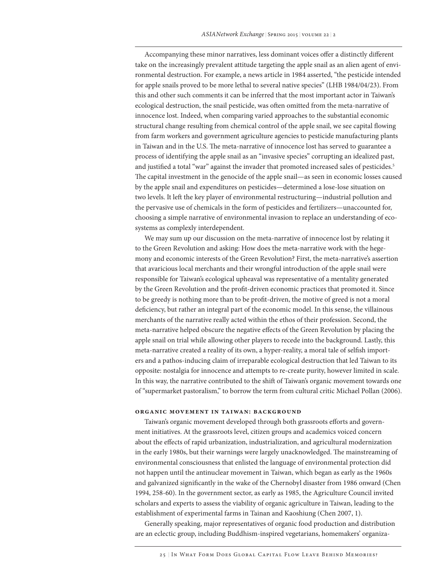Accompanying these minor narratives, less dominant voices offer a distinctly different take on the increasingly prevalent attitude targeting the apple snail as an alien agent of environmental destruction. For example, a news article in 1984 asserted, "the pesticide intended for apple snails proved to be more lethal to several native species" (LHB 1984/04/23). From this and other such comments it can be inferred that the most important actor in Taiwan's ecological destruction, the snail pesticide, was often omitted from the meta-narrative of innocence lost. Indeed, when comparing varied approaches to the substantial economic structural change resulting from chemical control of the apple snail, we see capital flowing from farm workers and government agriculture agencies to pesticide manufacturing plants in Taiwan and in the U.S. The meta-narrative of innocence lost has served to guarantee a process of identifying the apple snail as an "invasive species" corrupting an idealized past, and justified a total "war" against the invader that promoted increased sales of pesticides.<sup>5</sup> The capital investment in the genocide of the apple snail—as seen in economic losses caused by the apple snail and expenditures on pesticides—determined a lose-lose situation on two levels. It left the key player of environmental restructuring—industrial pollution and the pervasive use of chemicals in the form of pesticides and fertilizers—unaccounted for, choosing a simple narrative of environmental invasion to replace an understanding of ecosystems as complexly interdependent.

We may sum up our discussion on the meta-narrative of innocence lost by relating it to the Green Revolution and asking: How does the meta-narrative work with the hegemony and economic interests of the Green Revolution? First, the meta-narrative's assertion that avaricious local merchants and their wrongful introduction of the apple snail were responsible for Taiwan's ecological upheaval was representative of a mentality generated by the Green Revolution and the profit-driven economic practices that promoted it. Since to be greedy is nothing more than to be profit-driven, the motive of greed is not a moral deficiency, but rather an integral part of the economic model. In this sense, the villainous merchants of the narrative really acted within the ethos of their profession. Second, the meta-narrative helped obscure the negative effects of the Green Revolution by placing the apple snail on trial while allowing other players to recede into the background. Lastly, this meta-narrative created a reality of its own, a hyper-reality, a moral tale of selfish importers and a pathos-inducing claim of irreparable ecological destruction that led Taiwan to its opposite: nostalgia for innocence and attempts to re-create purity, however limited in scale. In this way, the narrative contributed to the shift of Taiwan's organic movement towards one of "supermarket pastoralism," to borrow the term from cultural critic Michael Pollan (2006).

#### **Organic Movement in Taiwan: Background**

Taiwan's organic movement developed through both grassroots efforts and government initiatives. At the grassroots level, citizen groups and academics voiced concern about the effects of rapid urbanization, industrialization, and agricultural modernization in the early 1980s, but their warnings were largely unacknowledged. The mainstreaming of environmental consciousness that enlisted the language of environmental protection did not happen until the antinuclear movement in Taiwan, which began as early as the 1960s and galvanized significantly in the wake of the Chernobyl disaster from 1986 onward (Chen 1994, 258-60). In the government sector, as early as 1985, the Agriculture Council invited scholars and experts to assess the viability of organic agriculture in Taiwan, leading to the establishment of experimental farms in Tainan and Kaoshiung (Chen 2007, 1).

Generally speaking, major representatives of organic food production and distribution are an eclectic group, including Buddhism-inspired vegetarians, homemakers' organiza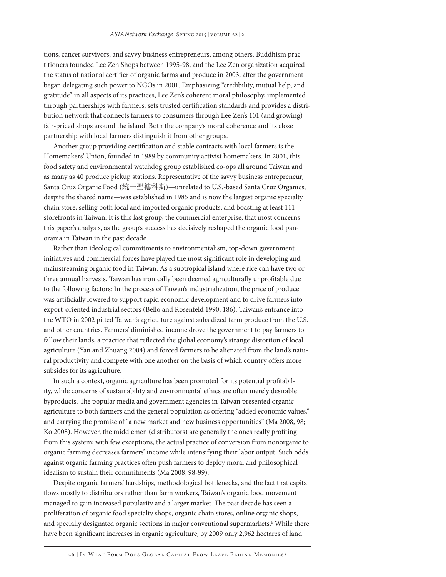tions, cancer survivors, and savvy business entrepreneurs, among others. Buddhism practitioners founded Lee Zen Shops between 1995-98, and the Lee Zen organization acquired the status of national certifier of organic farms and produce in 2003, after the government began delegating such power to NGOs in 2001. Emphasizing "credibility, mutual help, and gratitude" in all aspects of its practices, Lee Zen's coherent moral philosophy, implemented through partnerships with farmers, sets trusted certification standards and provides a distribution network that connects farmers to consumers through Lee Zen's 101 (and growing) fair-priced shops around the island. Both the company's moral coherence and its close partnership with local farmers distinguish it from other groups.

Another group providing certification and stable contracts with local farmers is the Homemakers' Union, founded in 1989 by community activist homemakers. In 2001, this food safety and environmental watchdog group established co-ops all around Taiwan and as many as 40 produce pickup stations. Representative of the savvy business entrepreneur, Santa Cruz Organic Food (統一聖德科斯)—unrelated to U.S.-based Santa Cruz Organics, despite the shared name—was established in 1985 and is now the largest organic specialty chain store, selling both local and imported organic products, and boasting at least 111 storefronts in Taiwan. It is this last group, the commercial enterprise, that most concerns this paper's analysis, as the group's success has decisively reshaped the organic food panorama in Taiwan in the past decade.

Rather than ideological commitments to environmentalism, top-down government initiatives and commercial forces have played the most significant role in developing and mainstreaming organic food in Taiwan. As a subtropical island where rice can have two or three annual harvests, Taiwan has ironically been deemed agriculturally unprofitable due to the following factors: In the process of Taiwan's industrialization, the price of produce was artificially lowered to support rapid economic development and to drive farmers into export-oriented industrial sectors (Bello and Rosenfeld 1990, 186). Taiwan's entrance into the WTO in 2002 pitted Taiwan's agriculture against subsidized farm produce from the U.S. and other countries. Farmers' diminished income drove the government to pay farmers to fallow their lands, a practice that reflected the global economy's strange distortion of local agriculture (Yan and Zhuang 2004) and forced farmers to be alienated from the land's natural productivity and compete with one another on the basis of which country offers more subsides for its agriculture.

In such a context, organic agriculture has been promoted for its potential profitability, while concerns of sustainability and environmental ethics are often merely desirable byproducts. The popular media and government agencies in Taiwan presented organic agriculture to both farmers and the general population as offering "added economic values," and carrying the promise of "a new market and new business opportunities" (Ma 2008, 98; Ko 2008). However, the middlemen (distributors) are generally the ones really profiting from this system; with few exceptions, the actual practice of conversion from nonorganic to organic farming decreases farmers' income while intensifying their labor output. Such odds against organic farming practices often push farmers to deploy moral and philosophical idealism to sustain their commitments (Ma 2008, 98-99).

Despite organic farmers' hardships, methodological bottlenecks, and the fact that capital flows mostly to distributors rather than farm workers, Taiwan's organic food movement managed to gain increased popularity and a larger market. The past decade has seen a proliferation of organic food specialty shops, organic chain stores, online organic shops, and specially designated organic sections in major conventional supermarkets.<sup>6</sup> While there have been significant increases in organic agriculture, by 2009 only 2,962 hectares of land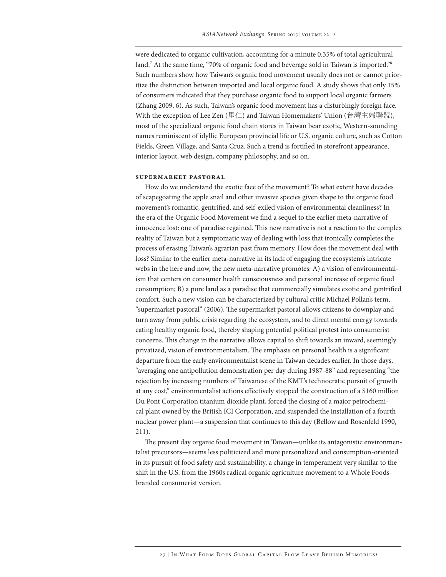were dedicated to organic cultivation, accounting for a minute 0.35% of total agricultural land.7 At the same time, "70% of organic food and beverage sold in Taiwan is imported."8 Such numbers show how Taiwan's organic food movement usually does not or cannot prioritize the distinction between imported and local organic food. A study shows that only 15% of consumers indicated that they purchase organic food to support local organic farmers (Zhang 2009, 6). As such, Taiwan's organic food movement has a disturbingly foreign face. With the exception of Lee Zen (里仁) and Taiwan Homemakers' Union (台灣主婦聯盟), most of the specialized organic food chain stores in Taiwan bear exotic, Western-sounding names reminiscent of idyllic European provincial life or U.S. organic culture, such as Cotton Fields, Green Village, and Santa Cruz. Such a trend is fortified in storefront appearance, interior layout, web design, company philosophy, and so on.

# **Supermarket Pastoral**

How do we understand the exotic face of the movement? To what extent have decades of scapegoating the apple snail and other invasive species given shape to the organic food movement's romantic, gentrified, and self-exiled vision of environmental cleanliness? In the era of the Organic Food Movement we find a sequel to the earlier meta-narrative of innocence lost: one of paradise regained. This new narrative is not a reaction to the complex reality of Taiwan but a symptomatic way of dealing with loss that ironically completes the process of erasing Taiwan's agrarian past from memory. How does the movement deal with loss? Similar to the earlier meta-narrative in its lack of engaging the ecosystem's intricate webs in the here and now, the new meta-narrative promotes: A) a vision of environmentalism that centers on consumer health consciousness and personal increase of organic food consumption; B) a pure land as a paradise that commercially simulates exotic and gentrified comfort. Such a new vision can be characterized by cultural critic Michael Pollan's term, "supermarket pastoral" (2006). The supermarket pastoral allows citizens to downplay and turn away from public crisis regarding the ecosystem, and to direct mental energy towards eating healthy organic food, thereby shaping potential political protest into consumerist concerns. This change in the narrative allows capital to shift towards an inward, seemingly privatized, vision of environmentalism. The emphasis on personal health is a significant departure from the early environmentalist scene in Taiwan decades earlier. In those days, "averaging one antipollution demonstration per day during 1987-88" and representing "the rejection by increasing numbers of Taiwanese of the KMT's technocratic pursuit of growth at any cost," environmentalist actions effectively stopped the construction of a \$160 million Du Pont Corporation titanium dioxide plant, forced the closing of a major petrochemical plant owned by the British ICI Corporation, and suspended the installation of a fourth nuclear power plant—a suspension that continues to this day (Bellow and Rosenfeld 1990, 211).

The present day organic food movement in Taiwan—unlike its antagonistic environmentalist precursors—seems less politicized and more personalized and consumption-oriented in its pursuit of food safety and sustainability, a change in temperament very similar to the shift in the U.S. from the 1960s radical organic agriculture movement to a Whole Foodsbranded consumerist version.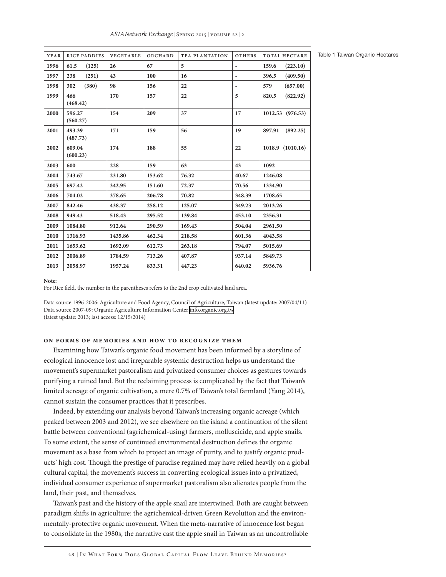| <b>YEAR</b> | RICE PADDIES       | <b>VEGETABLE</b> | ORCHARD | <b>TEA PLANTATION</b> | <b>OTHERS</b>            | <b>TOTAL HECTARE</b> |
|-------------|--------------------|------------------|---------|-----------------------|--------------------------|----------------------|
| 1996        | 61.5<br>(125)      | 26               | 67      | 5                     | $\overline{\phantom{0}}$ | 159.6<br>(223.10)    |
| 1997        | 238<br>(251)       | 43               | 100     | 16                    | $\overline{\phantom{0}}$ | 396.5<br>(409.50)    |
| 1998        | (380)<br>302       | 98               | 156     | 22                    | $\overline{\phantom{0}}$ | (657.00)<br>579      |
| 1999        | 466<br>(468.42)    | 170              | 157     | 22                    | 5                        | (822.92)<br>820.5    |
| 2000        | 596.27<br>(560.27) | 154              | 209     | 37                    | 17                       | 1012.53 (976.53)     |
| 2001        | 493.39<br>(487.73) | 171              | 159     | 56                    | 19                       | (892.25)<br>897.91   |
| 2002        | 609.04<br>(600.23) | 174              | 188     | 55                    | 22                       | 1018.9 (1010.16)     |
| 2003        | 600                | 228              | 159     | 63                    | 43                       | 1092                 |
| 2004        | 743.67             | 231.80           | 153.62  | 76.32                 | 40.67                    | 1246.08              |
| 2005        | 697.42             | 342.95           | 151.60  | 72.37                 | 70.56                    | 1334.90              |
| 2006        | 704.02             | 378.65           | 206.78  | 70.82                 | 348.39                   | 1708.65              |
| 2007        | 842.46             | 438.37           | 258.12  | 125.07                | 349.23                   | 2013.26              |
| 2008        | 949.43             | 518.43           | 295.52  | 139.84                | 453.10                   | 2356.31              |
| 2009        | 1084.80            | 912.64           | 290.59  | 169.43                | 504.04                   | 2961.50              |
| 2010        | 1316.93            | 1435.86          | 462.34  | 218.58                | 601.36                   | 4043.58              |
| 2011        | 1653.62            | 1692.09          | 612.73  | 263.18                | 794.07                   | 5015.69              |
| 2012        | 2006.89            | 1784.59          | 713.26  | 407.87                | 937.14                   | 5849.73              |
| 2013        | 2058.97            | 1957.24          | 833.31  | 447.23                | 640.02                   | 5936.76              |

**Note:** 

For Rice field, the number in the parentheses refers to the 2nd crop cultivated land area.

Data source 1996-2006: Agriculture and Food Agency, Council of Agriculture, Taiwan (latest update: 2007/04/11) Data source 2007-09: Organic Agriculture Information Center [info.organic.org.tw](http://info.organic.org.tw) (latest update: 2013; last access: 12/15/2014)

#### **On Forms of Memories and How to Recognize Them**

Examining how Taiwan's organic food movement has been informed by a storyline of ecological innocence lost and irreparable systemic destruction helps us understand the movement's supermarket pastoralism and privatized consumer choices as gestures towards purifying a ruined land. But the reclaiming process is complicated by the fact that Taiwan's limited acreage of organic cultivation, a mere 0.7% of Taiwan's total farmland (Yang 2014), cannot sustain the consumer practices that it prescribes.

Indeed, by extending our analysis beyond Taiwan's increasing organic acreage (which peaked between 2003 and 2012), we see elsewhere on the island a continuation of the silent battle between conventional (agrichemical-using) farmers, molluscicide, and apple snails. To some extent, the sense of continued environmental destruction defines the organic movement as a base from which to project an image of purity, and to justify organic products' high cost. Though the prestige of paradise regained may have relied heavily on a global cultural capital, the movement's success in converting ecological issues into a privatized, individual consumer experience of supermarket pastoralism also alienates people from the land, their past, and themselves.

Taiwan's past and the history of the apple snail are intertwined. Both are caught between paradigm shifts in agriculture: the agrichemical-driven Green Revolution and the environmentally-protective organic movement. When the meta-narrative of innocence lost began to consolidate in the 1980s, the narrative cast the apple snail in Taiwan as an uncontrollable

Table 1 Taiwan Organic Hectares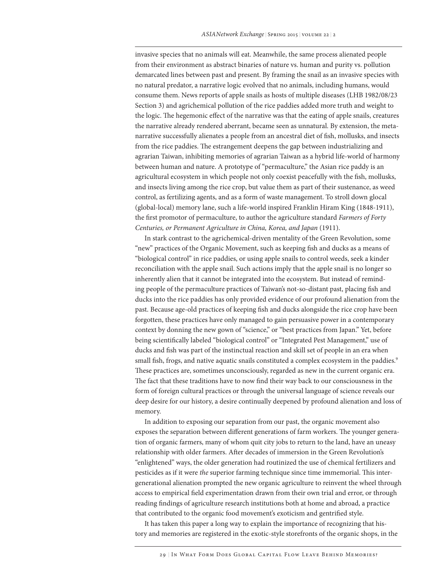invasive species that no animals will eat. Meanwhile, the same process alienated people from their environment as abstract binaries of nature vs. human and purity vs. pollution demarcated lines between past and present. By framing the snail as an invasive species with no natural predator, a narrative logic evolved that no animals, including humans, would consume them. News reports of apple snails as hosts of multiple diseases (LHB 1982/08/23 Section 3) and agrichemical pollution of the rice paddies added more truth and weight to the logic. The hegemonic effect of the narrative was that the eating of apple snails, creatures the narrative already rendered aberrant, became seen as unnatural. By extension, the metanarrative successfully alienates a people from an ancestral diet of fish, mollusks, and insects from the rice paddies. The estrangement deepens the gap between industrializing and agrarian Taiwan, inhibiting memories of agrarian Taiwan as a hybrid life-world of harmony between human and nature. A prototype of "permaculture," the Asian rice paddy is an agricultural ecosystem in which people not only coexist peacefully with the fish, mollusks, and insects living among the rice crop, but value them as part of their sustenance, as weed control, as fertilizing agents, and as a form of waste management. To stroll down glocal (global-local) memory lane, such a life-world inspired Franklin Hiram King (1848-1911), the first promotor of permaculture, to author the agriculture standard *Farmers of Forty Centuries, or Permanent Agriculture in China, Korea, and Japan* (1911).

In stark contrast to the agrichemical-driven mentality of the Green Revolution, some "new" practices of the Organic Movement, such as keeping fish and ducks as a means of "biological control" in rice paddies, or using apple snails to control weeds, seek a kinder reconciliation with the apple snail. Such actions imply that the apple snail is no longer so inherently alien that it cannot be integrated into the ecosystem. But instead of reminding people of the permaculture practices of Taiwan's not-so-distant past, placing fish and ducks into the rice paddies has only provided evidence of our profound alienation from the past. Because age-old practices of keeping fish and ducks alongside the rice crop have been forgotten, these practices have only managed to gain persuasive power in a contemporary context by donning the new gown of "science," or "best practices from Japan." Yet, before being scientifically labeled "biological control" or "Integrated Pest Management," use of ducks and fish was part of the instinctual reaction and skill set of people in an era when small fish, frogs, and native aquatic snails constituted a complex ecosystem in the paddies.<sup>9</sup> These practices are, sometimes unconsciously, regarded as new in the current organic era. The fact that these traditions have to now find their way back to our consciousness in the form of foreign cultural practices or through the universal language of science reveals our deep desire for our history, a desire continually deepened by profound alienation and loss of memory.

In addition to exposing our separation from our past, the organic movement also exposes the separation between different generations of farm workers. The younger generation of organic farmers, many of whom quit city jobs to return to the land, have an uneasy relationship with older farmers. After decades of immersion in the Green Revolution's "enlightened" ways, the older generation had routinized the use of chemical fertilizers and pesticides as if it were *the* superior farming technique since time immemorial. This intergenerational alienation prompted the new organic agriculture to reinvent the wheel through access to empirical field experimentation drawn from their own trial and error, or through reading findings of agriculture research institutions both at home and abroad, a practice that contributed to the organic food movement's exoticism and gentrified style.

It has taken this paper a long way to explain the importance of recognizing that history and memories are registered in the exotic-style storefronts of the organic shops, in the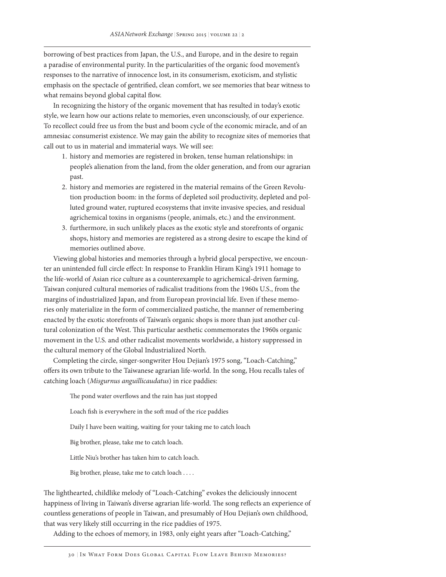borrowing of best practices from Japan, the U.S., and Europe, and in the desire to regain a paradise of environmental purity. In the particularities of the organic food movement's responses to the narrative of innocence lost, in its consumerism, exoticism, and stylistic emphasis on the spectacle of gentrified, clean comfort, we see memories that bear witness to what remains beyond global capital flow.

In recognizing the history of the organic movement that has resulted in today's exotic style, we learn how our actions relate to memories, even unconsciously, of our experience. To recollect could free us from the bust and boom cycle of the economic miracle, and of an amnesiac consumerist existence. We may gain the ability to recognize sites of memories that call out to us in material and immaterial ways. We will see:

- 1. history and memories are registered in broken, tense human relationships: in people's alienation from the land, from the older generation, and from our agrarian past.
- 2. history and memories are registered in the material remains of the Green Revolution production boom: in the forms of depleted soil productivity, depleted and polluted ground water, ruptured ecosystems that invite invasive species, and residual agrichemical toxins in organisms (people, animals, etc.) and the environment.
- 3. furthermore, in such unlikely places as the exotic style and storefronts of organic shops, history and memories are registered as a strong desire to escape the kind of memories outlined above.

Viewing global histories and memories through a hybrid glocal perspective, we encounter an unintended full circle effect: In response to Franklin Hiram King's 1911 homage to the life-world of Asian rice culture as a counterexample to agrichemical-driven farming, Taiwan conjured cultural memories of radicalist traditions from the 1960s U.S., from the margins of industrialized Japan, and from European provincial life. Even if these memories only materialize in the form of commercialized pastiche, the manner of remembering enacted by the exotic storefronts of Taiwan's organic shops is more than just another cultural colonization of the West. This particular aesthetic commemorates the 1960s organic movement in the U.S. and other radicalist movements worldwide, a history suppressed in the cultural memory of the Global Industrialized North.

Completing the circle, singer-songwriter Hou Dejian's 1975 song, "Loach-Catching," offers its own tribute to the Taiwanese agrarian life-world. In the song, Hou recalls tales of catching loach (*Misgurnus anguillicaudatus*) in rice paddies:

The pond water overflows and the rain has just stopped Loach fish is everywhere in the soft mud of the rice paddies Daily I have been waiting, waiting for your taking me to catch loach Big brother, please, take me to catch loach. Little Niu's brother has taken him to catch loach. Big brother, please, take me to catch loach . . . .

The lighthearted, childlike melody of "Loach-Catching" evokes the deliciously innocent happiness of living in Taiwan's diverse agrarian life-world. The song reflects an experience of countless generations of people in Taiwan, and presumably of Hou Dejian's own childhood, that was very likely still occurring in the rice paddies of 1975.

Adding to the echoes of memory, in 1983, only eight years after "Loach-Catching,"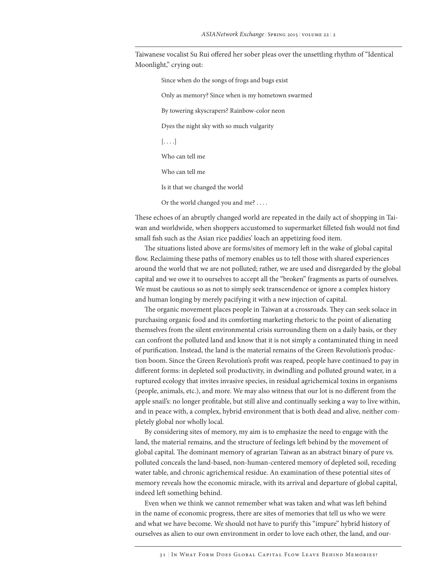Taiwanese vocalist Su Rui offered her sober pleas over the unsettling rhythm of "Identical Moonlight," crying out:

Since when do the songs of frogs and bugs exist Only as memory? Since when is my hometown swarmed By towering skyscrapers? Rainbow-color neon Dyes the night sky with so much vulgarity  $[\ldots]$ Who can tell me Who can tell me Is it that we changed the world Or the world changed you and me? . . . .

These echoes of an abruptly changed world are repeated in the daily act of shopping in Taiwan and worldwide, when shoppers accustomed to supermarket filleted fish would not find small fish such as the Asian rice paddies' loach an appetizing food item.

The situations listed above are forms/sites of memory left in the wake of global capital flow. Reclaiming these paths of memory enables us to tell those with shared experiences around the world that we are not polluted; rather, we are used and disregarded by the global capital and we owe it to ourselves to accept all the "broken" fragments as parts of ourselves. We must be cautious so as not to simply seek transcendence or ignore a complex history and human longing by merely pacifying it with a new injection of capital.

The organic movement places people in Taiwan at a crossroads. They can seek solace in purchasing organic food and its comforting marketing rhetoric to the point of alienating themselves from the silent environmental crisis surrounding them on a daily basis, or they can confront the polluted land and know that it is not simply a contaminated thing in need of purification. Instead, the land is the material remains of the Green Revolution's production boom. Since the Green Revolution's profit was reaped, people have continued to pay in different forms: in depleted soil productivity, in dwindling and polluted ground water, in a ruptured ecology that invites invasive species, in residual agrichemical toxins in organisms (people, animals, etc.), and more. We may also witness that our lot is no different from the apple snail's: no longer profitable, but still alive and continually seeking a way to live within, and in peace with, a complex, hybrid environment that is both dead and alive, neither completely global nor wholly local.

By considering sites of memory, my aim is to emphasize the need to engage with the land, the material remains, and the structure of feelings left behind by the movement of global capital. The dominant memory of agrarian Taiwan as an abstract binary of pure vs. polluted conceals the land-based, non-human-centered memory of depleted soil, receding water table, and chronic agrichemical residue. An examination of these potential sites of memory reveals how the economic miracle, with its arrival and departure of global capital, indeed left something behind.

Even when we think we cannot remember what was taken and what was left behind in the name of economic progress, there are sites of memories that tell us who we were and what we have become. We should not have to purify this "impure" hybrid history of ourselves as alien to our own environment in order to love each other, the land, and our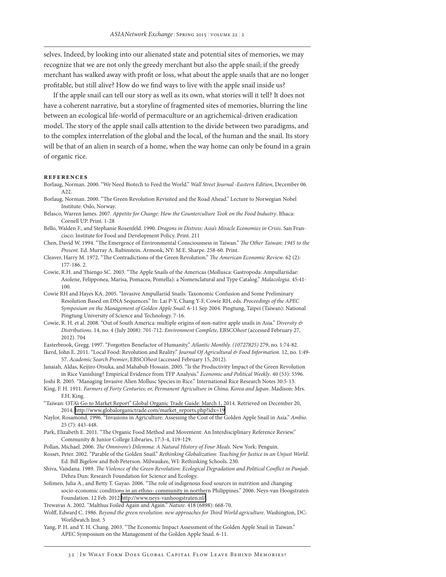selves. Indeed, by looking into our alienated state and potential sites of memories, we may recognize that we are not only the greedy merchant but also the apple snail; if the greedy merchant has walked away with profit or loss, what about the apple snails that are no longer profitable, but still alive? How do we find ways to live with the apple snail inside us?

If the apple snail can tell our story as well as its own, what stories will it tell? It does not have a coherent narrative, but a storyline of fragmented sites of memories, blurring the line between an ecological life-world of permaculture or an agrichemical-driven eradication model. The story of the apple snail calls attention to the divide between two paradigms, and to the complex interrelation of the global and the local, of the human and the snail. Its story will be that of an alien in search of a home, when the way home can only be found in a grain of organic rice.

#### **rEFERENCES**

- Borlaug, Norman. 2000. "We Need Biotech to Feed the World." *Wall Street Journal -Eastern Edition*, December 06. A22.
- Borlaug, Norman. 2000. "The Green Revolution Revisited and the Road Ahead." Lecture to Norwegian Nobel Institute: Oslo, Norway.
- Belasco, Warren James. 2007. *Appetite for Change: How the Counterculture Took on the Food Industry*. Ithaca: Cornell UP. Print. 1-28
- Bello, Walden F., and Stephanie Rosenfeld. 1990. *Dragons in Distress: Asia's Miracle Economies in Crisis*. San Francisco: Institute for Food and Development Policy. Print. 211
- Chen, David W. 1994. "The Emergence of Environmental Consciousness in Taiwan." *The Other Taiwan: 1945 to the Present*. Ed. Murray A. Rubinstein. Armonk, NY: M.E. Sharpe. 258-60. Print.
- Cleaver, Harry M. 1972. "The Contradictions of the Green Revolution." *The American Economic Review*. 62 (2): 177-186. 2.
- Cowie, R.H. and Thiengo SC. 2003. "The Apple Snails of the Americas (Mollusca: Gastropoda: Ampullariidae: Asolene, Felipponea, Marisa, Pomacea, Pomella): a Nomenclatural and Type Catalog." *Malacologia*. 45:41- 100.
- Cowie RH and Hayes KA. 2005. "Invasive Ampullariid Snails: Taxonomic Confusion and Some Preliminary Resolution Based on DNA Sequences." In: Lai P-Y, Chang Y-F, Cowie RH, eds. *Proceedings of the APEC Symposium on the Management of Golden Apple Snail*. 6-11 Sep 2004. Pingtung, Taipei (Taiwan): National Pingtung University of Science and Technology. 7-16.
- Cowie, R. H. et al. 2008. "Out of South America: multiple origins of non-native apple snails in Asia." *Diversity & Distributions*. 14, no. 4 (July 2008): 701-712. *Environment Complete*, EBSCO*host* (accessed February 27, 2012). 704

Easterbrook, Gregg. 1997. "Forgotten Benefactor of Humanity." *Atlantic Monthly. (10727825)* 279, no. 1:74-82.

Ikerd, John E. 2011. "Local Food: Revolution and Reality." *Journal Of Agricultural & Food Information*. 12, no. 1:49- 57. *Academic Search Premier*, EBSCO*host* (accessed February 15, 2012).

Janaiah, Aldas, Keijiro Otsuka, and Mahabub Hossain. 2005. "Is the Productivity Impact of the Green Revolution in Rice Vanishing? Empirical Evidence from TFP Analysis." *Economic and Political Weekly*. 40 (53): 5596.

- Joshi R. 2005. "Managing Invasive Alien Mollusc Species in Rice." International Rice Research Notes 30:5-13. King, F. H. 1911. *Farmers of Forty Centuries; or, Permanent Agriculture in China, Korea and Japan*. Madison: Mrs. F.H. King.
- "Taiwan: OTA's Go to Market Report" Global Organic Trade Guide: March 1, 2014. Retrieved on December 20, 2014. [http://www.globalorganictrade.com/market\\_reports.php?idx=19](http://www.globalorganictrade.com/market_reports.php?idx=19)

Naylor, Rosamond. 1996. "Invasions in Agriculture: Assessing the Cost of the Golden Apple Snail in Asia." *Ambio*. 25 (7): 443-448.

- Park, Elizabeth E. 2011. "The Organic Food Method and Movement: An Interdisciplinary Reference Review." Community & Junior College Libraries, 17:3-4, 119-129.
- Pollan, Michael. 2006. *The Omnivore's Dilemma: A Natural History of Four Meals*. New York: Penguin.
- Rosset, Peter. 2002. "Parable of the Golden Snail." *Rethinking Globalization: Teaching for Justice in an Unjust World*. Ed. Bill Bigelow and Bob Peterson. Milwaukee, WI: Rethinking Schools. 230.
- Shiva, Vandana. 1989. *The Violence of the Green Revolution: Ecological Degradation and Political Conflict in Punjab*. Dehra Dun: Research Foundation for Science and Ecology.
- Solimen, Julia A., and Betty T. Gayao. 2006. "The role of indigenous food sources in nutrition and changing socio-economic conditions in an ethno- community in northern Philippines." 2006. Neys-van Hoogstraten Foundation. 12 Feb. 2012<http://www.neys-vanhoogstraten.nl/>.
- Trewavas A. 2002. "Malthus Foiled Again and Again." *Nature*. 418 (6898): 668-70.
- Wolff, Edward C. 1986. *Beyond the green revolution: new approaches for Third World agriculture*. Washington, DC: Worldwatch Inst. 5
- Yang, P. H. and Y. H. Chang. 2003. "The Economic Impact Assessment of the Golden Apple Snail in Taiwan." APEC Symposium on the Management of the Golden Apple Snail. 6-11.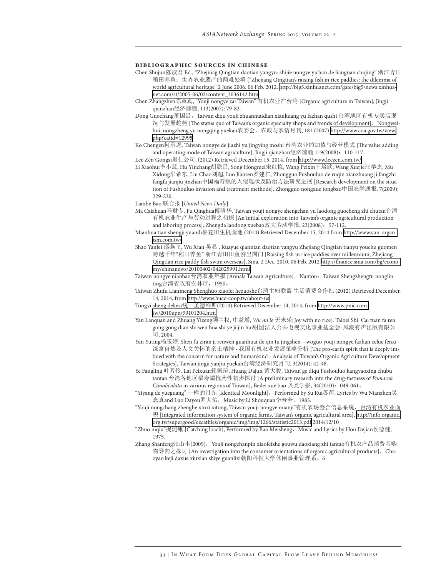#### **Bibliographic Sources in Chinese**

- Chen Shujun陈淑君 Ed., "Zhejinag Qingtian daotian yangyu: shijie nongye yichan de liangnan chujing" 浙江青田 稻田养鱼:世界农业遗产的两难处境 ["Zhejiang Qingtian's raising fish in rice paddies: the dilemma of world agricultural heritage" 2 June 2006. 06 Feb. 2012. [http://big5.xinhuanet.com/gate/big5/news.xinhua](http://big5.xinhuanet.com/gate/big5/news.xinhuanet.com/st/2005-06/02/content_3036142.htm)[net.com/st/2005-06/02/content\\_3036142.htm.](http://big5.xinhuanet.com/gate/big5/news.xinhuanet.com/st/2005-06/02/content_3036142.htm)
- Chen Zhangzhen陈章真, "Youji nongye zai Taiwan" 有机农业在台湾 [Organic agriculture in Taiwan], Jingji qianzhan经济前瞻, 113(2007): 79-82.
- Dong Guochang董国昌,Taiwan diqu youji zhuanmaidian xiankuang yu fazhan qushi 台湾地区有机专卖店现 况与发展趋势 [The status quo of Taiwan's organic specialty shops and trends of development], Nongweihui, nongzheng yu nongqing yuekan农委会,农政与农情月刊, 181 (2007) [http://www.coa.gov.tw/view.](http://www.coa.gov.tw/view.php?catid=12995) [php?catid=12995](http://www.coa.gov.tw/view.php?catid=12995)
- Ko Chengen柯承恩, Taiwan nongye de jiazhi yu jingying moshi 台湾农业的加值与经营模式 [The value adding and operating mode of Taiwan agriculture], Jingji qianzhan经济前瞻 119(2008):110-117.
- Lee Zen Gongsi里仁公司, (2012) Retrieved December 15, 2014, from <http://www.leezen.com.tw/>
- Li Xiaohui李小慧, Hu Yinchang胡隐昌, Song Hongmei宋红梅, Wang Peixin王培欣, Wang Xuejie汪学杰, Mu Xidong牟希东, Liu Chao刘超, Luo Jianren罗建仁, Zhongguo Fushouluo de ruqin xianzhuang ji fangzhi fangfa jianjiu jinzhan中国福寿螺的入侵现状及防治方法研究进展 [Research development on the situation of Fushouluo invasion and treatment methods], Zhongguo nongxue tongbao中国农学通报, 7(2009): 229-230.
- Lianhe Bao 联合报 [*United News Daily*].
- Ma Caizhuan马财专, Fu Qinghua傅晴华, Taiwan youji nongye shengchan yu laodong guocheng zhi chutan台湾 有机农业生产与劳动过程之初探 [An initial exploration into Taiwan's organic agricultural production and laboring process], Zhengda laodong xuebao政大劳动学报, 23(2008): 57-112.
- Mianhua tian shengji yuandi棉花田生机园地 (2014) Retrieved December 15, 2014 from [http://www.sun-organ](http://www.sun-organism.com.tw/)[ism.com.tw/](http://www.sun-organism.com.tw/)
- Shao Yanfei 邵燕飞, Wu Xian 吴显 , Kuayue qiannian daotian yangyu Zhejiang Qingtian tianyu youchu guomen 跨越千年"稻田养鱼" 浙江青田田鱼游出国门 [Raising fish in rice paddies over millennium, Zhejiang Qingtian rice paddy fish swim overseas], Sina. 2 Dec. 2010. 06 Feb. 2012 [http://finance.sina.com/bg/econo](http://finance.sina.com/bg/economy/chinanews/20100402/042025991.html)[my/chinanews/20100402/042025991.html.](http://finance.sina.com/bg/economy/chinanews/20100402/042025991.html)
- Taiwan nongye nianbao台湾农业年报 [Annals Taiwan Agriculture], Nantou: Taiwan Shengzhengfu nonglin ting台湾省政府农林厅,1950。
- Taiwan Zhufu Lianmeng Shenghuo xiaofei hezuoshe台湾主妇联盟 生活消费合作社 (2012) Retrieved December. 14, 2014, from <http://www.hucc-coop.tw/about-us>
- Tongyi sheng dekesi统一圣德科斯(2014) Retrieved December 14, 2014, from [http://www.pnic.com.](http://www.pnic.com.tw/2010upn/99101204.htm) [tw/2010upn/99101204.htm](http://www.pnic.com.tw/2010upn/99101204.htm)
- Yan Lanquan and Zhuang Yizeng颜兰权, 庄益增, *Wu mi le* 无米乐[Joy with no rice]. Taibei Shi: Cai tuan fa ren gong gong dian shi wen hua shi ye ji jin hui财团法人公共电视文化事业基金会: 风潮有声出版有限公 司, 2004.
- Yan Yuting杨玉婷, Shen fu ziran ji renwen guanhuai de qin tu jingshen woguo youji nongye fazhan celue fenxi 深富自然及人文关怀的亲土精神 - 我国有机农业发展策略分析 [The pro-earth spirit that is deeply imbued with the concern for nature and humankind - Analysis of Taiwan's Organic Agriculture Development Strategies], Taiwan jingji yanjiu yuekan台湾经济研究月刊, 3(2014): 42-48.
- Ye Fangling 叶芳伶, Lai Peixuan赖佩瑄, Huang Dajun 黄大骏, Taiwan ge diqu Fushouluo kangyaoxing chubu tantao 台湾各地区福寿螺抗药性初步探讨 [A preliminary research into the drug-fastness of *Pomacea Canaliculata* in various regions of Taiwan], Beilei xue bao 贝类学报, 34(2010):049-061。
- "Yiyang de yueguang" 一样的月光 [Identical Moonlight],Performed by Su Rui苏芮, Lyrics by Wu Nianzhen吴 念真and Luo Dayou罗大佑,Music by Li Shouquan李寿全,1983.
- "Youji nongchang zhenghe xinxi xitong, Taiwan youji nongye mianji"有机农场整合信息系统,台湾有机农业面 积 [Integrated information system of organic farms, Taiwan's organic agricultural area], [http://info.organic.](http://info.organic.org.tw/supergood/ezcatfiles/organic/img/img/1266/statistic2013.pdf) [org.tw/supergood/ezcatfiles/organic/img/img/1266/statistic2013.pdf](http://info.organic.org.tw/supergood/ezcatfiles/organic/img/img/1266/statistic2013.pdf) 2014/12/10
- "Zhuo niqiu"捉泥鳅 [Catching loach], Performed by Bao Meisheng, Music and Lyrics by Hou Dejian侯德健, 1975.
- Zhang Shanfeng张山丰(2009), Youji nongchanpin xiaofeizhe gouwu daoxiang zhi tantao有机农产品消费者购 物导向之探讨 [An investigation into the consumer orientations of organic agricultural products], Chaoyao keji daxue xiuxian shiye guanlixi朝阳科技大学休闲事业管理系。6